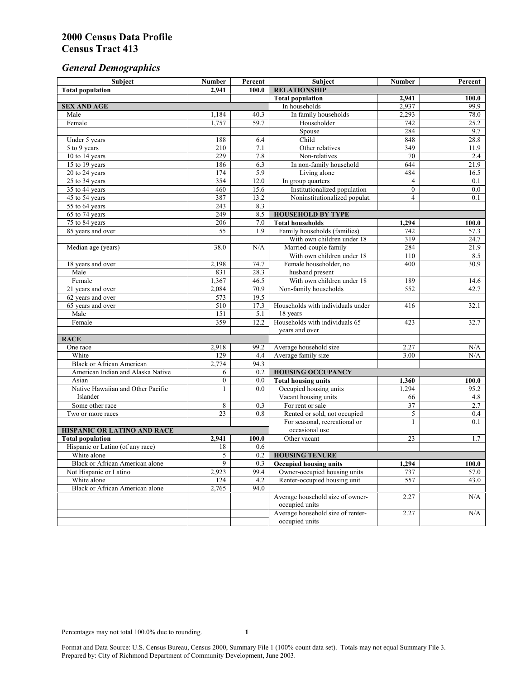# *General Demographics*

| Subject                                | <b>Number</b>    | Percent     | Subject                                            | Number                         | Percent    |
|----------------------------------------|------------------|-------------|----------------------------------------------------|--------------------------------|------------|
| <b>Total population</b>                | 2.941            | 100.0       | <b>RELATIONSHIP</b>                                |                                |            |
|                                        |                  |             | <b>Total population</b>                            | 2,941                          | 100.0      |
| <b>SEX AND AGE</b>                     |                  |             | In households                                      | 2,937                          | 99.9       |
| Male                                   | 1,184            | 40.3        | In family households                               | 2,293                          | 78.0       |
| Female                                 | 1,757            | 59.7        | Householder                                        | 742                            | 25.2       |
|                                        |                  |             | Spouse                                             | 284                            | 9.7        |
| Under 5 years                          | 188              | 6.4         | Child                                              | 848                            | 28.8       |
| 5 to 9 years                           | $\overline{210}$ | 7.1         | Other relatives                                    | 349                            | 11.9       |
| 10 to 14 years                         | 229              | 7.8         | Non-relatives                                      | 70                             | 2.4        |
| 15 to 19 years                         | 186              | 6.3         | In non-family household                            | 644                            | 21.9       |
| 20 to 24 years<br>$25$ to $34$ years   | 174<br>354       | 5.9<br>12.0 | Living alone                                       | 484                            | 16.5       |
| 35 to 44 years                         | 460              | 15.6        | In group quarters<br>Institutionalized population  | $\overline{4}$<br>$\mathbf{0}$ | 0.1<br>0.0 |
| 45 to 54 years                         | 387              | 13.2        | Noninstitutionalized populat.                      | $\overline{4}$                 | 0.1        |
| 55 to 64 years                         | 243              | 8.3         |                                                    |                                |            |
| 65 to 74 years                         | 249              | 8.5         | <b>HOUSEHOLD BY TYPE</b>                           |                                |            |
| 75 to 84 years                         | 206              | 7.0         | <b>Total households</b>                            | 1,294                          | 100.0      |
| 85 years and over                      | 55               | 1.9         | Family households (families)                       | 742                            | 57.3       |
|                                        |                  |             | With own children under 18                         | 319                            | 24.7       |
| Median age (years)                     | 38.0             | N/A         | Married-couple family                              | 284                            | 21.9       |
|                                        |                  |             | With own children under 18                         | 110                            | 8.5        |
| 18 years and over                      | 2,198            | 74.7        | Female householder, no                             | 400                            | 30.9       |
| Male                                   | 831              | 28.3        | husband present                                    |                                |            |
| Female                                 | 1,367            | 46.5        | With own children under 18                         | 189                            | 14.6       |
| 21 years and over                      | 2,084            | 70.9        | Non-family households                              | 552                            | 42.7       |
| 62 years and over                      | 573              | 19.5        |                                                    |                                |            |
| 65 years and over                      | 510              | 17.3        | Households with individuals under                  | 416                            | 32.1       |
| Male                                   | 151              | 5.1         | 18 years                                           |                                |            |
| Female                                 | 359              | 12.2        | Households with individuals 65                     | 423                            | 32.7       |
|                                        |                  |             | years and over                                     |                                |            |
| <b>RACE</b>                            |                  |             |                                                    |                                |            |
| One race                               | 2,918            | 99.2        | Average household size                             | 2.27                           | N/A        |
| White                                  | 129              | 4.4         | Average family size                                | 3.00                           | N/A        |
| <b>Black or African American</b>       | 2,774            | 94.3        |                                                    |                                |            |
| American Indian and Alaska Native      | 6                | 0.2         | <b>HOUSING OCCUPANCY</b>                           |                                |            |
| Asian                                  | $\boldsymbol{0}$ | $0.0\,$     | <b>Total housing units</b>                         | 1,360                          | 100.0      |
| Native Hawaiian and Other Pacific      | 1                | 0.0         | Occupied housing units                             | 1,294                          | 95.2       |
| Islander                               |                  |             | Vacant housing units                               | 66                             | 4.8        |
| Some other race                        | 8                | 0.3         | For rent or sale                                   | 37                             | 2.7        |
| Two or more races                      | 23               | 0.8         | Rented or sold, not occupied                       | 5                              | 0.4        |
|                                        |                  |             | For seasonal, recreational or                      | $\mathbf{1}$                   | 0.1        |
| HISPANIC OR LATINO AND RACE            |                  |             | occasional use                                     |                                |            |
| <b>Total population</b>                | 2,941            | 100.0       | Other vacant                                       | 23                             | 1.7        |
| Hispanic or Latino (of any race)       | 18               | 0.6         |                                                    |                                |            |
| White alone                            | 5                | 0.2         | <b>HOUSING TENURE</b>                              |                                |            |
| Black or African American alone        | 9                | 0.3         | <b>Occupied housing units</b>                      | 1,294                          | 100.0      |
| Not Hispanic or Latino                 | 2,923            | 99.4        | Owner-occupied housing units                       | 737                            | 57.0       |
| White alone                            | 124              | 4.2         | Renter-occupied housing unit                       | 557                            | 43.0       |
| <b>Black or African American alone</b> | 2,765            | 94.0        |                                                    |                                |            |
|                                        |                  |             | Average household size of owner-<br>occupied units | 2.27                           | N/A        |
|                                        |                  |             | Average household size of renter-                  | 2.27                           | N/A        |
|                                        |                  |             | occupied units                                     |                                |            |
|                                        |                  |             |                                                    |                                |            |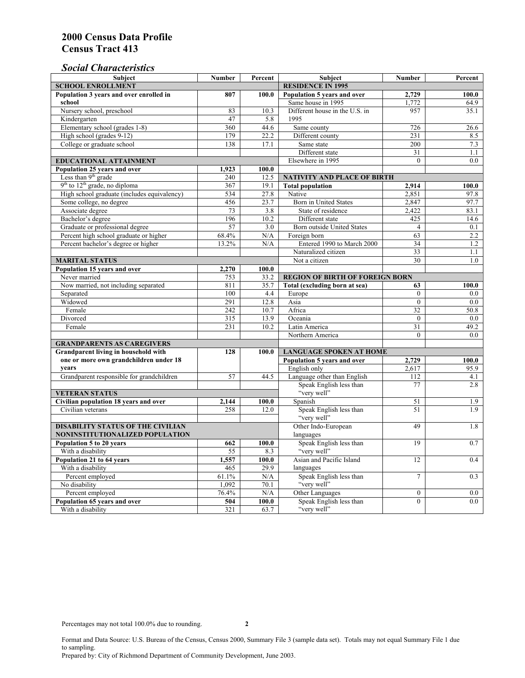### *Social Characteristics*

| <b>Subject</b>                              | <b>Number</b>            | Percent      | Subject                                | <b>Number</b>    | Percent           |  |
|---------------------------------------------|--------------------------|--------------|----------------------------------------|------------------|-------------------|--|
| <b>SCHOOL ENROLLMENT</b>                    | <b>RESIDENCE IN 1995</b> |              |                                        |                  |                   |  |
| Population 3 years and over enrolled in     | 807                      | 100.0        | Population 5 years and over            | 2,729            | 100.0             |  |
| school                                      |                          |              | Same house in 1995                     | 1,772            | 64.9              |  |
| Nursery school, preschool                   | 83                       | 10.3         | Different house in the U.S. in         | 957              | 35.1              |  |
| Kindergarten                                | 47                       | 5.8          | 1995                                   |                  |                   |  |
| Elementary school (grades 1-8)              | 360                      | 44.6         | Same county                            | 726              | $\overline{26.6}$ |  |
| High school (grades 9-12)                   | 179                      | 22.2         | Different county                       | 231              | 8.5               |  |
| College or graduate school                  | 138                      | 17.1         | Same state                             | 200              | 7.3               |  |
|                                             |                          |              | Different state                        | 31               | 1.1               |  |
| <b>EDUCATIONAL ATTAINMENT</b>               |                          |              | Elsewhere in 1995                      | $\theta$         | $0.0\,$           |  |
| Population 25 years and over                | 1,923                    | 100.0        |                                        |                  |                   |  |
| Less than 9 <sup>th</sup> grade             | 240                      | 12.5         | NATIVITY AND PLACE OF BIRTH            |                  |                   |  |
| $9th$ to $12th$ grade, no diploma           | 367                      | 19.1         | <b>Total population</b>                | 2,914            | 100.0             |  |
| High school graduate (includes equivalency) | 534                      | 27.8         | Native                                 | 2.851            | 97.8              |  |
| Some college, no degree                     | 456                      | 23.7         | <b>Born</b> in United States           | 2,847            | 97.7              |  |
| Associate degree                            | 73                       | 3.8          | State of residence                     | 2,422            | 83.1              |  |
| Bachelor's degree                           | 196                      | 10.2         | Different state                        | 425              | 14.6              |  |
| Graduate or professional degree             | 57                       | 3.0          | Born outside United States             | $\overline{4}$   | 0.1               |  |
| Percent high school graduate or higher      | 68.4%                    | N/A          | Foreign born                           | 63               | $2.2^{\circ}$     |  |
| Percent bachelor's degree or higher         | 13.2%                    | N/A          | Entered 1990 to March 2000             | 34               | 1.2               |  |
|                                             |                          |              | Naturalized citizen                    | 33               | 1.1               |  |
| <b>MARITAL STATUS</b>                       |                          |              | Not a citizen                          | 30               | 1.0               |  |
| Population 15 years and over                | 2,270                    | 100.0        |                                        |                  |                   |  |
| Never married                               | 753                      | 33.2         | <b>REGION OF BIRTH OF FOREIGN BORN</b> |                  |                   |  |
| Now married, not including separated        | 811                      | 35.7         | Total (excluding born at sea)          | 63               | 100.0             |  |
| Separated                                   | 100                      | 4.4          | Europe                                 | $\overline{0}$   | 0.0               |  |
| Widowed                                     | 291                      | 12.8         | Asia                                   | $\overline{0}$   | 0.0               |  |
| Female                                      | 242                      | 10.7         | Africa                                 | 32               | 50.8              |  |
| Divorced                                    | 315                      | 13.9         | Oceania                                | $\Omega$         | 0.0               |  |
| Female                                      | 231                      | 10.2         | Latin America                          | 31               | 49.2              |  |
|                                             |                          |              | Northern America                       | $\theta$         | 0.0               |  |
| <b>GRANDPARENTS AS CAREGIVERS</b>           |                          |              |                                        |                  |                   |  |
| Grandparent living in household with<br>128 |                          | 100.0        | <b>LANGUAGE SPOKEN AT HOME</b>         |                  |                   |  |
| one or more own grandchildren under 18      |                          |              | Population 5 years and over            | 2,729            | 100.0             |  |
| years                                       |                          |              | English only                           | 2,617            | 95.9              |  |
| Grandparent responsible for grandchildren   | 57                       | 44.5         | Language other than English            | 112              | 4.1               |  |
|                                             |                          |              | Speak English less than<br>"very well" | 77               | 2.8               |  |
| <b>VETERAN STATUS</b>                       |                          |              |                                        |                  |                   |  |
| Civilian population 18 years and over       | 2,144                    | 100.0        | Spanish                                | 51<br>51         | 1.9               |  |
| Civilian veterans                           | 258                      | 12.0         | Speak English less than<br>"very well" |                  | 1.9               |  |
| <b>DISABILITY STATUS OF THE CIVILIAN</b>    |                          |              | Other Indo-European                    | 49               | 1.8               |  |
| NONINSTITUTIONALIZED POPULATION             | languages                |              |                                        |                  |                   |  |
| Population 5 to 20 years                    | Speak English less than  | 19           | 0.7                                    |                  |                   |  |
| With a disability                           | 662<br>55                | 100.0<br>8.3 | "very well"                            |                  |                   |  |
| Population 21 to 64 years                   |                          | 100.0        | Asian and Pacific Island               | 12               | 0.4               |  |
| With a disability                           | 1,557<br>465             | 29.9         | languages                              |                  |                   |  |
| Percent employed                            | 61.1%                    | N/A          | Speak English less than                | $\overline{7}$   | 0.3               |  |
| No disability                               | 1,092                    | 70.1         | "very well"                            |                  |                   |  |
| Percent employed                            | 76.4%                    | N/A          | Other Languages                        | $\boldsymbol{0}$ | $0.0\,$           |  |
| Population 65 years and over                | 504                      | 100.0        | Speak English less than                | $\mathbf{0}$     | 0.0               |  |
| With a disability                           | 321                      | 63.7         | "very well"                            |                  |                   |  |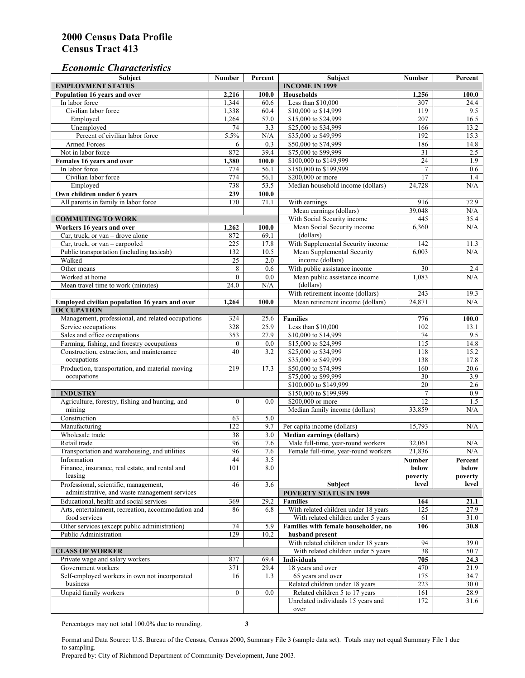#### *Economic Characteristics*

| <b>Subject</b>                                                      | Number           | Percent    | Subject                                                                | Number           | Percent           |
|---------------------------------------------------------------------|------------------|------------|------------------------------------------------------------------------|------------------|-------------------|
| <b>EMPLOYMENT STATUS</b>                                            |                  |            | <b>INCOME IN 1999</b>                                                  |                  |                   |
| Population 16 years and over                                        | 2,216            | 100.0      | <b>Households</b>                                                      | 1,256            | 100.0             |
| In labor force                                                      | 1,344            | 60.6       | Less than \$10,000                                                     | 307              | 24.4              |
| Civilian labor force                                                | 1,338            | 60.4       | \$10,000 to \$14,999                                                   | 119              | 9.5               |
| Employed                                                            | 1,264            | 57.0       | \$15,000 to \$24,999                                                   | 207              | 16.5              |
| Unemployed                                                          | 74               | 3.3        | \$25,000 to \$34,999                                                   | 166              | 13.2              |
| Percent of civilian labor force                                     | 5.5%             | N/A        | \$35,000 to \$49,999                                                   | 192              | 15.3              |
| Armed Forces                                                        | 6                | 0.3        | \$50,000 to \$74,999                                                   | 186              | 14.8              |
| Not in labor force                                                  | 872              | 39.4       | \$75,000 to \$99,999                                                   | 31               | 2.5               |
| Females 16 years and over                                           | 1,380            | 100.0      | \$100,000 to \$149,999                                                 | $\overline{24}$  | 1.9               |
| In labor force                                                      | 774              | 56.1       | \$150,000 to \$199,999                                                 | $\overline{7}$   | 0.6               |
| Civilian labor force                                                | 774              | 56.1       | \$200,000 or more                                                      | 17               | 1.4               |
| Employed                                                            | 738              | 53.5       | Median household income (dollars)                                      | 24,728           | N/A               |
| Own children under 6 years                                          | 239              | 100.0      |                                                                        |                  |                   |
| All parents in family in labor force                                | 170              | 71.1       | With earnings                                                          | 916              | 72.9              |
|                                                                     |                  |            | Mean earnings (dollars)                                                | 39,048           | N/A               |
| <b>COMMUTING TO WORK</b>                                            |                  |            | With Social Security income                                            | 445              | 35.4              |
| Workers 16 years and over                                           | 1,262            | 100.0      | Mean Social Security income                                            | 6,360            | N/A               |
| Car, truck, or van – drove alone                                    | 872              | 69.1       | (dollars)                                                              |                  |                   |
| Car, truck, or van - carpooled                                      | 225              | 17.8       | With Supplemental Security income                                      | 142              | 11.3              |
| Public transportation (including taxicab)                           | 132              | 10.5       | Mean Supplemental Security                                             | 6.003            | N/A               |
| Walked                                                              | 25               | 2.0        | income (dollars)                                                       |                  |                   |
| Other means                                                         | 8                | 0.6        | With public assistance income                                          | 30               | 2.4               |
| Worked at home                                                      | $\overline{0}$   | 0.0        | Mean public assistance income                                          | 1.083            | N/A               |
| Mean travel time to work (minutes)                                  | 24.0             | N/A        | (dollars)                                                              |                  |                   |
|                                                                     |                  |            | With retirement income (dollars)                                       | $\overline{243}$ | 19.3              |
| Employed civilian population 16 years and over                      | 1,264            | 100.0      | Mean retirement income (dollars)                                       | 24,871           | N/A               |
| <b>OCCUPATION</b>                                                   |                  |            |                                                                        |                  |                   |
| Management, professional, and related occupations                   | 324              | 25.6       | <b>Families</b>                                                        | 776              | 100.0             |
| Service occupations                                                 | 328              | 25.9       | Less than \$10,000                                                     | 102              | 13.1              |
| Sales and office occupations                                        | 353              | 27.9       | \$10,000 to \$14,999                                                   | 74               | 9.5               |
| Farming, fishing, and forestry occupations                          | $\boldsymbol{0}$ | 0.0        | \$15,000 to \$24,999                                                   | 115              | 14.8              |
| Construction, extraction, and maintenance                           | 40               | 3.2        | \$25,000 to \$34,999                                                   | 118              | 15.2              |
| occupations                                                         |                  |            | \$35,000 to \$49,999                                                   | 138              | 17.8              |
| Production, transportation, and material moving                     | 219              | 17.3       | \$50,000 to \$74,999                                                   | 160              | 20.6              |
| occupations                                                         |                  |            | \$75,000 to \$99,999                                                   | 30               | 3.9               |
|                                                                     |                  |            | \$100,000 to \$149,999                                                 | 20               | 2.6               |
| <b>INDUSTRY</b>                                                     |                  |            | \$150,000 to \$199,999                                                 | $\tau$           | 0.9               |
| Agriculture, forestry, fishing and hunting, and                     | $\boldsymbol{0}$ | 0.0        | \$200,000 or more                                                      | 12               | 1.5               |
| mining                                                              |                  |            | Median family income (dollars)                                         | 33,859           | N/A               |
| Construction                                                        | 63               | 5.0        |                                                                        |                  |                   |
| Manufacturing                                                       | 122              | 9.7        | Per capita income (dollars)                                            | 15,793           | N/A               |
| Wholesale trade                                                     |                  |            |                                                                        |                  |                   |
|                                                                     | 38<br>96         | 3.0        | <b>Median earnings (dollars)</b><br>Male full-time, year-round workers |                  |                   |
| Retail trade<br>Transportation and warehousing, and utilities       | 96               | 7.6<br>7.6 | Female full-time, year-round workers                                   | 32,061<br>21,836 | N/A<br>N/A        |
|                                                                     |                  |            |                                                                        |                  |                   |
| Information<br>Finance, insurance, real estate, and rental and      | 44<br>101        | 3.5<br>8.0 |                                                                        | Number           | Percent           |
| leasing                                                             |                  |            |                                                                        | below<br>poverty | below<br>poverty  |
|                                                                     |                  | 3.6        |                                                                        | level            | level             |
| Professional, scientific, management,                               | 46               |            | Subject<br><b>POVERTY STATUS IN 1999</b>                               |                  |                   |
| administrative, and waste management services                       |                  |            |                                                                        |                  |                   |
| Educational, health and social services                             | 369              | 29.2       | <b>Families</b>                                                        | 164              | 21.1              |
| Arts, entertainment, recreation, accommodation and<br>food services | 86               | 6.8        | With related children under 18 years                                   | 125              | 27.9              |
|                                                                     |                  |            | With related children under 5 years                                    | 61               | 31.0              |
| Other services (except public administration)                       | 74               | 5.9        | Families with female householder, no                                   | 106              | 30.8              |
| Public Administration                                               | 129              | 10.2       | husband present                                                        |                  |                   |
|                                                                     |                  |            | With related children under 18 years                                   | 94               | 39.0              |
| <b>CLASS OF WORKER</b>                                              |                  |            | With related children under 5 years                                    | 38               | $\overline{50.7}$ |
| Private wage and salary workers                                     | 877              | 69.4       | Individuals                                                            | 705              | 24.3              |
| Government workers                                                  | 371              | 29.4       | 18 years and over                                                      | 470              | 21.9              |
| Self-employed workers in own not incorporated                       | 16               | 1.3        | 65 years and over                                                      | 175              | 34.7              |
| business                                                            |                  |            | Related children under 18 years                                        | 223              | 30.0              |
| Unpaid family workers                                               | $\boldsymbol{0}$ | 0.0        | Related children 5 to 17 years                                         | 161              | 28.9              |
|                                                                     |                  |            | Unrelated individuals 15 years and                                     | 172              | 31.6              |
|                                                                     |                  |            | over                                                                   |                  |                   |

Percentages may not total 100.0% due to rounding. **3** 

Format and Data Source: U.S. Bureau of the Census, Census 2000, Summary File 3 (sample data set). Totals may not equal Summary File 1 due to sampling.

Prepared by: City of Richmond Department of Community Development, June 2003.